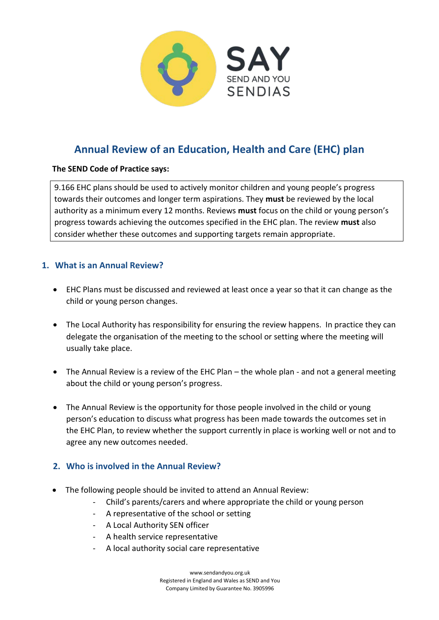

# **Annual Review of an Education, Health and Care (EHC) plan**

#### **The SEND Code of Practice says:**

9.166 EHC plans should be used to actively monitor children and young people's progress towards their outcomes and longer term aspirations. They **must** be reviewed by the local authority as a minimum every 12 months. Reviews **must** focus on the child or young person's progress towards achieving the outcomes specified in the EHC plan. The review **must** also consider whether these outcomes and supporting targets remain appropriate.

## **1. What is an Annual Review?**

- EHC Plans must be discussed and reviewed at least once a year so that it can change as the child or young person changes.
- The Local Authority has responsibility for ensuring the review happens. In practice they can delegate the organisation of the meeting to the school or setting where the meeting will usually take place.
- The Annual Review is a review of the EHC Plan the whole plan and not a general meeting about the child or young person's progress.
- The Annual Review is the opportunity for those people involved in the child or young person's education to discuss what progress has been made towards the outcomes set in the EHC Plan, to review whether the support currently in place is working well or not and to agree any new outcomes needed.

## **2. Who is involved in the Annual Review?**

- The following people should be invited to attend an Annual Review:
	- Child's parents/carers and where appropriate the child or young person
	- A representative of the school or setting
	- A Local Authority SEN officer
	- A health service representative
	- A local authority social care representative

www.[sendandyou](http://www.sendandyou.org.uk).org.uk Registered in England and Wales as SEND and You Company Limited by Guarantee No. 3905996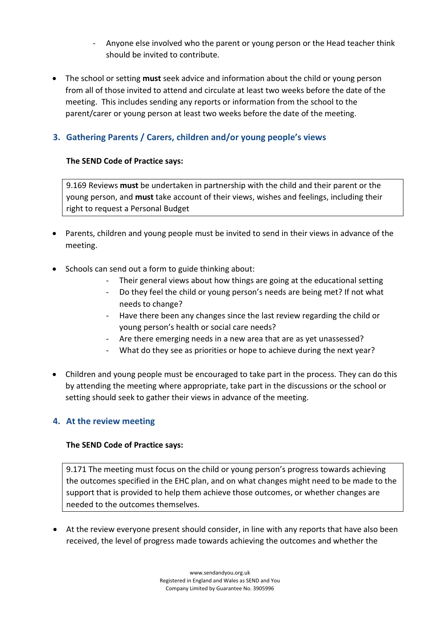- Anyone else involved who the parent or young person or the Head teacher think should be invited to contribute.
- The school or setting **must** seek advice and information about the child or young person from all of those invited to attend and circulate at least two weeks before the date of the meeting. This includes sending any reports or information from the school to the parent/carer or young person at least two weeks before the date of the meeting.

## **3. Gathering Parents / Carers, children and/or young people's views**

## **The SEND Code of Practice says:**

9.169 Reviews **must** be undertaken in partnership with the child and their parent or the young person, and **must** take account of their views, wishes and feelings, including their right to request a Personal Budget

- Parents, children and young people must be invited to send in their views in advance of the meeting.
- Schools can send out a form to guide thinking about:
	- Their general views about how things are going at the educational setting
	- Do they feel the child or young person's needs are being met? If not what needs to change?
	- Have there been any changes since the last review regarding the child or young person's health or social care needs?
	- Are there emerging needs in a new area that are as yet unassessed?
	- What do they see as priorities or hope to achieve during the next year?
- Children and young people must be encouraged to take part in the process. They can do this by attending the meeting where appropriate, take part in the discussions or the school or setting should seek to gather their views in advance of the meeting.

## **4. At the review meeting**

#### **The SEND Code of Practice says:**

9.171 The meeting must focus on the child or young person's progress towards achieving the outcomes specified in the EHC plan, and on what changes might need to be made to the support that is provided to help them achieve those outcomes, or whether changes are needed to the outcomes themselves.

 At the review everyone present should consider, in line with any reports that have also been received, the level of progress made towards achieving the outcomes and whether the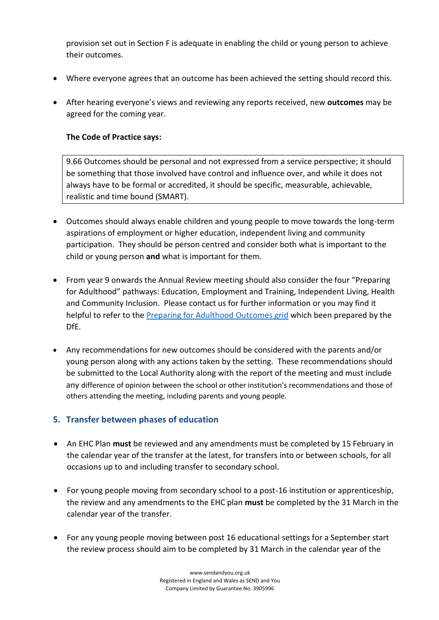provision set out in Section F is adequate in enabling the child or young person to achieve their outcomes.

- Where everyone agrees that an outcome has been achieved the setting should record this.
- After hearing everyone's views and reviewing any reports received, new **outcomes** may be agreed for the coming year.

#### **The Code of Practice says:**

9.66 Outcomes should be personal and not expressed from a service perspective; it should be something that those involved have control and influence over, and while it does not always have to be formal or accredited, it should be specific, measurable, achievable, realistic and time bound (SMART).

- Outcomes should always enable children and young people to move towards the long-term aspirations of employment or higher education, independent living and community participation. They should be person centred and consider both what is important to the child or young person **and** what is important for them.
- From year 9 onwards the Annual Review meeting should also consider the four "Preparing for Adulthood" pathways: Education, Employment and Training, Independent Living, Health and Community Inclusion. Please contact us for further information or you may find it helpful to refer to the [Preparing for Adulthood Outcomes grid](https://www.preparingforadulthood.org.uk/SiteAssets/Downloads/yeded5wb636481748062535810.pdf) which been prepared by the DfE.
- Any recommendations for new outcomes should be considered with the parents and/or young person along with any actions taken by the setting. These recommendations should be submitted to the Local Authority along with the report of the meeting and must include any difference of opinion between the school or other institution's recommendations and those of others attending the meeting, including parents and young people.

#### **5. Transfer between phases of education**

- An EHC Plan **must** be reviewed and any amendments must be completed by 15 February in the calendar year of the transfer at the latest, for transfers into or between schools, for all occasions up to and including transfer to secondary school.
- For young people moving from secondary school to a post-16 institution or apprenticeship, the review and any amendments to the EHC plan **must** be completed by the 31 March in the calendar year of the transfer.
- For any young people moving between post 16 educational settings for a September start the review process should aim to be completed by 31 March in the calendar year of the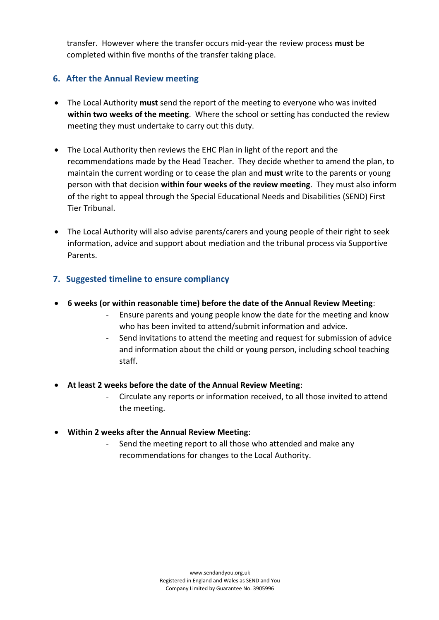transfer. However where the transfer occurs mid-year the review process **must** be completed within five months of the transfer taking place.

## **6. After the Annual Review meeting**

- The Local Authority **must** send the report of the meeting to everyone who was invited **within two weeks of the meeting**. Where the school or setting has conducted the review meeting they must undertake to carry out this duty.
- The Local Authority then reviews the EHC Plan in light of the report and the recommendations made by the Head Teacher. They decide whether to amend the plan, to maintain the current wording or to cease the plan and **must** write to the parents or young person with that decision **within four weeks of the review meeting**. They must also inform of the right to appeal through the Special Educational Needs and Disabilities (SEND) First Tier Tribunal.
- The Local Authority will also advise parents/carers and young people of their right to seek information, advice and support about mediation and the tribunal process via Supportive Parents.

## **7. Suggested timeline to ensure compliancy**

- **6 weeks (or within reasonable time) before the date of the Annual Review Meeting**:
	- Ensure parents and young people know the date for the meeting and know who has been invited to attend/submit information and advice.
	- Send invitations to attend the meeting and request for submission of advice and information about the child or young person, including school teaching staff.
- **At least 2 weeks before the date of the Annual Review Meeting**:
	- Circulate any reports or information received, to all those invited to attend the meeting.
- **Within 2 weeks after the Annual Review Meeting**:
	- Send the meeting report to all those who attended and make any recommendations for changes to the Local Authority.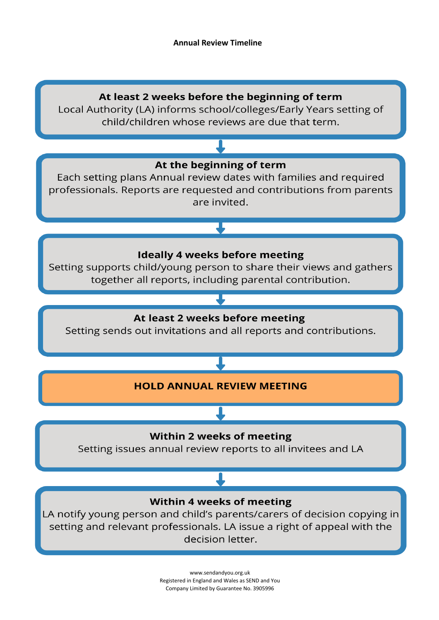

Local Authority (LA) informs school/colleges/Early Years setting of child/children whose reviews are due that term.



decision letter.

[www.sendandyou.org.uk](http://www.sendandyou.org.uk) Registered in England and Wales as SEND and You Company Limited by Guarantee No. 3905996